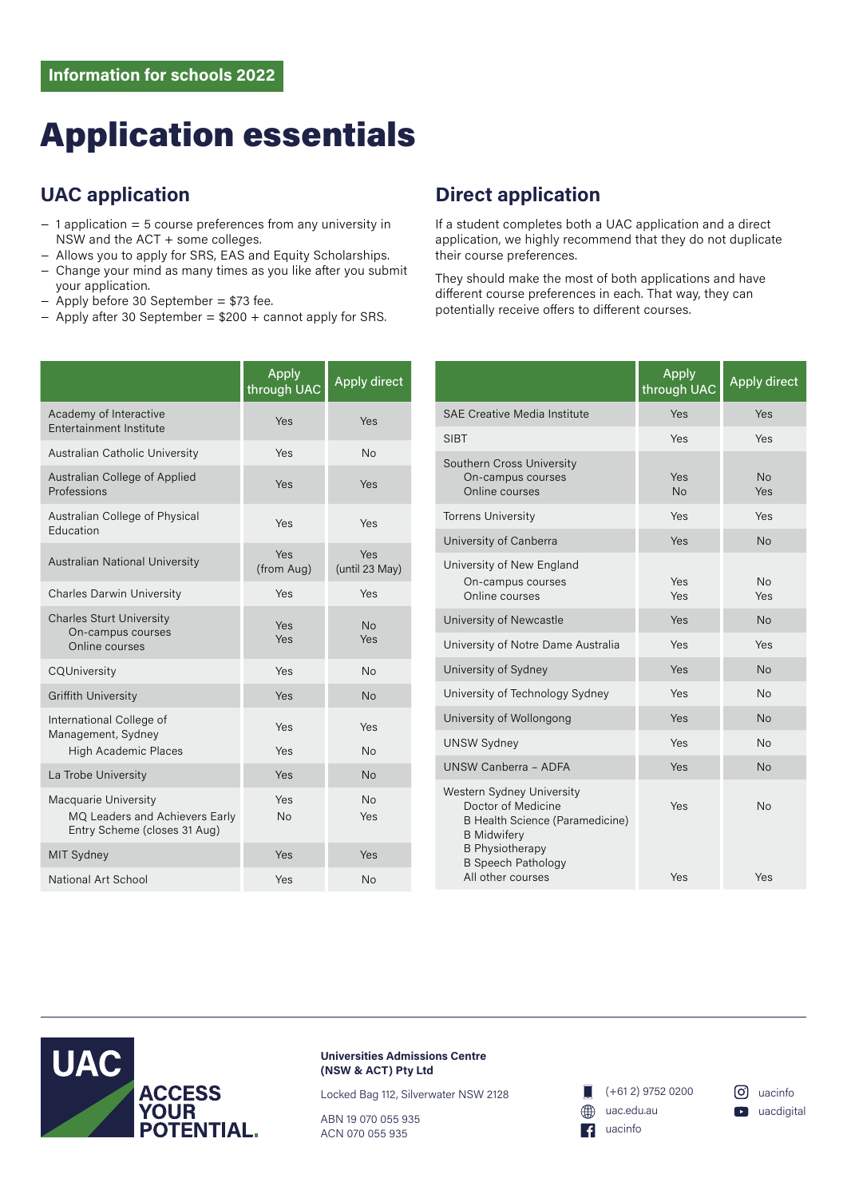## Application essentials

## **UAC application**

- − 1 application = 5 course preferences from any university in NSW and the ACT + some colleges.
- − Allows you to apply for SRS, EAS and Equity Scholarships.
- − Change your mind as many times as you like after you submit your application.
- − Apply before 30 September = \$73 fee.
- − Apply after 30 September = \$200 + cannot apply for SRS.

|                                                                                        | Apply<br>through UAC | <b>Apply direct</b>   |
|----------------------------------------------------------------------------------------|----------------------|-----------------------|
| Academy of Interactive<br>Entertainment Institute                                      | Yes                  | Yes                   |
| Australian Catholic University                                                         | Yes                  | <b>No</b>             |
| Australian College of Applied<br>Professions                                           | Yes                  | Yes                   |
| Australian College of Physical<br><b>Education</b>                                     | Yes                  | Yes                   |
| Australian National University                                                         | Yes<br>(from Aug)    | Yes<br>(until 23 May) |
| <b>Charles Darwin University</b>                                                       | Yes                  | Yes                   |
| <b>Charles Sturt University</b><br>On-campus courses<br>Online courses                 | Yes<br>Yes           | <b>No</b><br>Yes      |
| CQUniversity                                                                           | Yes                  | <b>No</b>             |
| <b>Griffith University</b>                                                             | Yes                  | <b>No</b>             |
| International College of<br>Management, Sydney<br><b>High Academic Places</b>          | Yes<br>Yes           | Yes<br><b>No</b>      |
| La Trobe University                                                                    | Yes                  | <b>No</b>             |
| Macquarie University<br>MQ Leaders and Achievers Early<br>Entry Scheme (closes 31 Aug) | Yes<br><b>No</b>     | <b>No</b><br>Yes      |
| <b>MIT Sydney</b>                                                                      | Yes                  | Yes                   |
| National Art School                                                                    | Yes                  | No                    |

### **Direct application**

If a student completes both a UAC application and a direct application, we highly recommend that they do not duplicate their course preferences.

They should make the most of both applications and have different course preferences in each. That way, they can potentially receive offers to different courses.

|                                                                                                                                                                 | Apply<br>through UAC | <b>Apply direct</b> |
|-----------------------------------------------------------------------------------------------------------------------------------------------------------------|----------------------|---------------------|
| <b>SAE Creative Media Institute</b>                                                                                                                             | Yes                  | Yes                 |
| <b>SIBT</b>                                                                                                                                                     | Yes                  | Yes                 |
| Southern Cross University<br>On-campus courses<br>Online courses                                                                                                | Yes<br>No            | <b>No</b><br>Yes    |
| <b>Torrens University</b>                                                                                                                                       | Yes                  | Yes                 |
| University of Canberra                                                                                                                                          | Yes                  | <b>No</b>           |
| University of New England<br>On-campus courses<br>Online courses                                                                                                | Yes<br>Yes           | No<br>Yes           |
| University of Newcastle                                                                                                                                         | Yes                  | No                  |
| University of Notre Dame Australia                                                                                                                              | Yes                  | Yes                 |
| University of Sydney                                                                                                                                            | Yes                  | No                  |
| University of Technology Sydney                                                                                                                                 | Yes                  | <b>No</b>           |
| University of Wollongong                                                                                                                                        | Yes                  | <b>No</b>           |
| <b>UNSW Sydney</b>                                                                                                                                              | Yes                  | <b>No</b>           |
| UNSW Canberra - ADFA                                                                                                                                            | Yes                  | <b>No</b>           |
| Western Sydney University<br>Doctor of Medicine<br>B Health Science (Paramedicine)<br><b>B</b> Midwifery<br><b>B</b> Physiotherapy<br><b>B Speech Pathology</b> | Yes                  | <b>No</b>           |
| All other courses                                                                                                                                               | Yes                  | Yes                 |



**Universities Admissions Centre (NSW & ACT) Pty Ltd**

Locked Bag 112, Silverwater NSW 2128

ABN 19 070 055 935 ACN 070 055 935

(+61 2) 9752 0200 uac.edu.au AA) **14** uacinfo

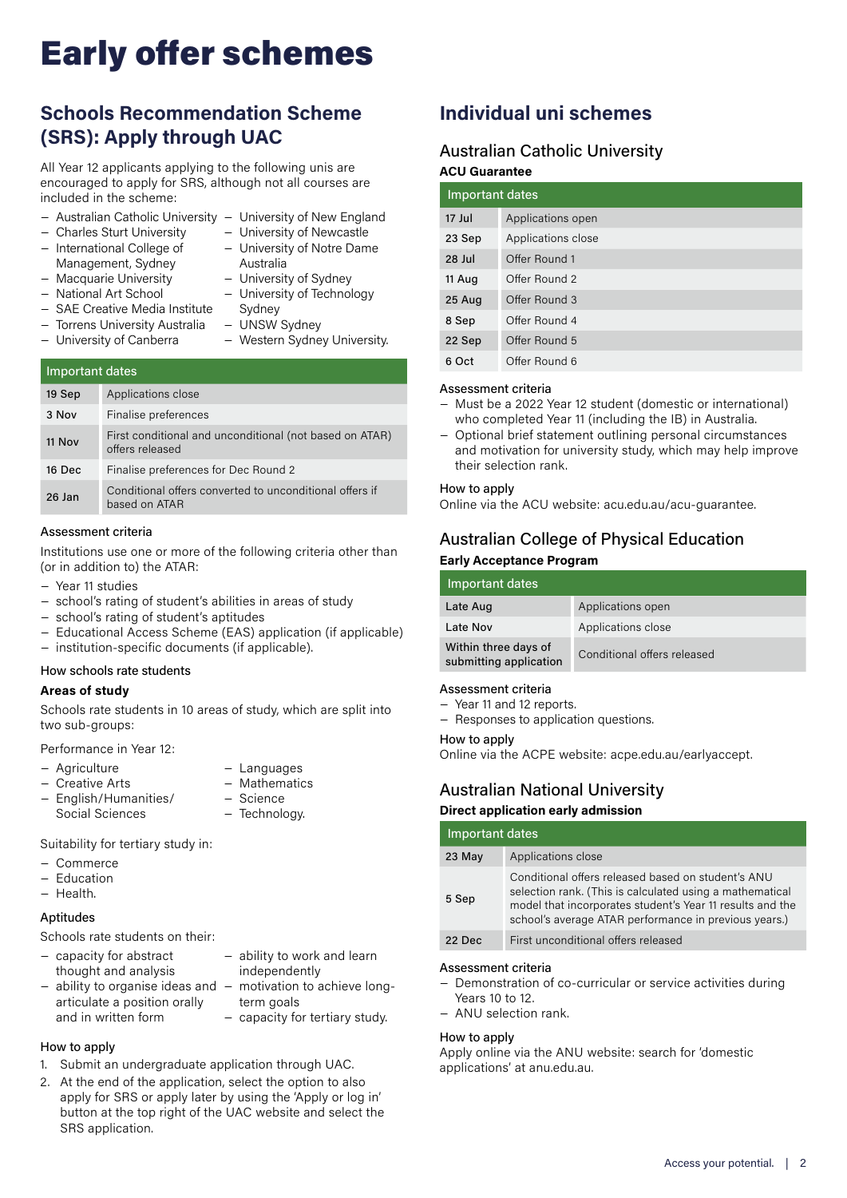# Early offer schemes

## **Schools Recommendation Scheme (SRS): Apply through UAC**

All Year 12 applicants applying to the following unis are encouraged to apply for SRS, although not all courses are included in the scheme:

- − Australian Catholic University − University of New England
- − Charles Sturt University
- − International College of Management, Sydney
- − University of Newcastle − University of Notre Dame Australia

(not based on ATAR)

- − University of Sydney
- − Macquarie University − National Art School
	- − University of Technology
- − SAE Creative Media Institute
- − Torrens University Australia Sydney − UNSW Sydney
- − University of Canberra

|  |  | Western Sydney University. |
|--|--|----------------------------|

| Important dates |                                                        |
|-----------------|--------------------------------------------------------|
| 19 Sep          | Applications close                                     |
| $3$ Nov         | Finalise preferences                                   |
| $11$ Nov        | First conditional and unconditional<br>offers released |

16 Dec Finalise preferences for Dec Round 2 26 Jan Conditional offers converted to unconditional offers if based on ATAR

### Assessment criteria

Institutions use one or more of the following criteria other than (or in addition to) the ATAR:

- − Year 11 studies
- − school's rating of student's abilities in areas of study
- − school's rating of student's aptitudes
- − Educational Access Scheme (EAS) application (if applicable) − institution-specific documents (if applicable).
- 

### How schools rate students

### **Areas of study**

Schools rate students in 10 areas of study, which are split into two sub-groups:

− Technology.

Performance in Year 12:

- − Agriculture − Creative Arts − Languages − Mathematics − Science
- − English/Humanities/ Social Sciences

Suitability for tertiary study in:

- − Commerce
- − Education
- − Health.

### **Aptitudes**

Schools rate students on their:

| - capacity for abstract<br>thought and analysis                   | - ability to work and learn<br>independently |
|-------------------------------------------------------------------|----------------------------------------------|
| $-$ ability to organise ideas and $-$ motivation to achieve long- |                                              |
| articulate a position orally                                      | term goals                                   |
| and in written form                                               | - capacity for tertiary study.               |

### How to apply

- 1. Submit an undergraduate application through UAC.
- 2. At the end of the application, select the option to also apply for SRS or apply later by using the 'Apply or log in' button at the top right of the UAC website and select the SRS application.

### **Individual uni schemes**

### Australian Catholic University **ACU Guarantee**

| $\sim$ 0 22.000 2000 |                    |  |
|----------------------|--------------------|--|
|                      | Important dates    |  |
| 17 Jul               | Applications open  |  |
| 23 Sep               | Applications close |  |
| 28 Jul               | Offer Round 1      |  |
| 11 Aug               | Offer Round 2      |  |
| 25 Aug               | Offer Round 3      |  |
| 8 Sep                | Offer Round 4      |  |
| 22 Sep               | Offer Round 5      |  |
| 6 Oct                | Offer Round 6      |  |

### Assessment criteria

- − Must be a 2022 Year 12 student (domestic or international) who completed Year 11 (including the IB) in Australia.
- − Optional brief statement outlining personal circumstances and motivation for university study, which may help improve their selection rank.

### How to apply

Online via the ACU website: acu.edu.au/acu-guarantee.

### Australian College of Physical Education

### **Early Acceptance Program**

| Important dates                                |                             |
|------------------------------------------------|-----------------------------|
| Late Aug                                       | Applications open           |
| Late Nov                                       | Applications close          |
| Within three days of<br>submitting application | Conditional offers released |

### Assessment criteria

- − Year 11 and 12 reports.
- − Responses to application questions.

### How to apply

Online via the ACPE website: acpe.edu.au/earlyaccept.

### Australian National University

### **Direct application early admission**

| Important dates |                                                                                                                                                                                                                                      |  |
|-----------------|--------------------------------------------------------------------------------------------------------------------------------------------------------------------------------------------------------------------------------------|--|
| 23 May          | Applications close                                                                                                                                                                                                                   |  |
| 5 Sep           | Conditional offers released based on student's ANU<br>selection rank. (This is calculated using a mathematical<br>model that incorporates student's Year 11 results and the<br>school's average ATAR performance in previous years.) |  |
| 22 Dec          | First unconditional offers released                                                                                                                                                                                                  |  |

### Assessment criteria

- − Demonstration of co-curricular or service activities during Years 10 to 12.
- − ANU selection rank.

### How to apply

Apply online via the ANU website: search for 'domestic applications' at anu.edu.au.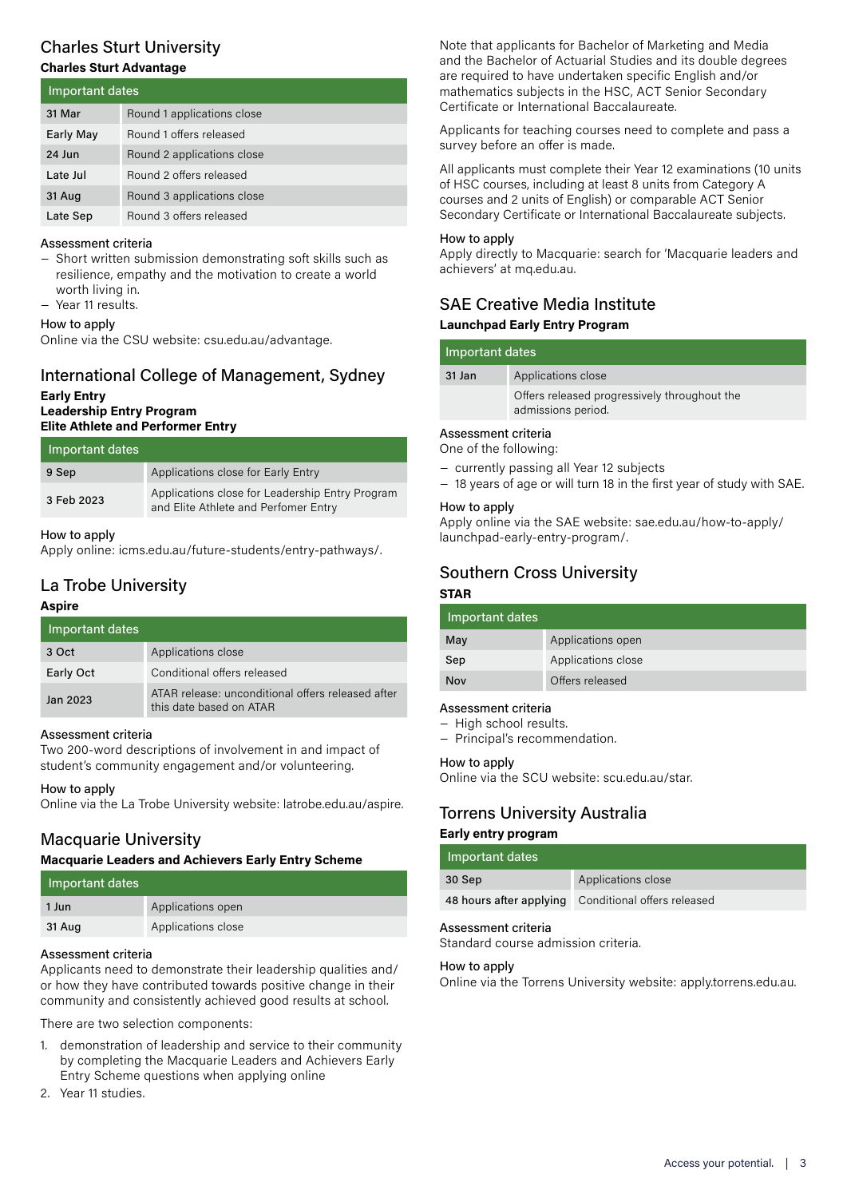### Charles Sturt University **Charles Sturt Advantage**

| Important dates  |                            |
|------------------|----------------------------|
| 31 Mar           | Round 1 applications close |
| <b>Early May</b> | Round 1 offers released    |
| 24 Jun           | Round 2 applications close |
| Late Jul         | Round 2 offers released    |
| 31 Aug           | Round 3 applications close |
| Late Sep         | Round 3 offers released    |

### Assessment criteria

− Short written submission demonstrating soft skills such as resilience, empathy and the motivation to create a world worth living in.

− Year 11 results.

### How to apply

Online via the CSU website: csu.edu.au/advantage.

### International College of Management, Sydney **Early Entry Leadership Entry Program Elite Athlete and Performer Entry**

| Important dates |                                                                                         |
|-----------------|-----------------------------------------------------------------------------------------|
| 9 Sep           | Applications close for Early Entry                                                      |
| 3 Feb 2023      | Applications close for Leadership Entry Program<br>and Elite Athlete and Perfomer Entry |

### How to apply

Apply online: icms.edu.au/future-students/entry-pathways/.

### La Trobe University

### **Aspire**

| Important dates |                                                                              |
|-----------------|------------------------------------------------------------------------------|
| 3 Oct           | Applications close                                                           |
| Early Oct       | Conditional offers released                                                  |
| Jan 2023        | ATAR release: unconditional offers released after<br>this date based on ATAR |

### Assessment criteria

Two 200-word descriptions of involvement in and impact of student's community engagement and/or volunteering.

### How to apply

Online via the La Trobe University website: latrobe.edu.au/aspire.

### Macquarie University

### **Macquarie Leaders and Achievers Early Entry Scheme**

| Important dates |                    |
|-----------------|--------------------|
| 1 Jun           | Applications open  |
| 31 Aug          | Applications close |

### Assessment criteria

Applicants need to demonstrate their leadership qualities and/ or how they have contributed towards positive change in their community and consistently achieved good results at school.

There are two selection components:

- 1. demonstration of leadership and service to their community by completing the Macquarie Leaders and Achievers Early Entry Scheme questions when applying online
- 2. Year 11 studies.

Note that applicants for Bachelor of Marketing and Media and the Bachelor of Actuarial Studies and its double degrees are required to have undertaken specific English and/or mathematics subjects in the HSC, ACT Senior Secondary Certificate or International Baccalaureate.

Applicants for teaching courses need to complete and pass a survey before an offer is made.

All applicants must complete their Year 12 examinations (10 units of HSC courses, including at least 8 units from Category A courses and 2 units of English) or comparable ACT Senior Secondary Certificate or International Baccalaureate subjects.

### How to apply

Apply directly to Macquarie: search for 'Macquarie leaders and achievers' at mq.edu.au.

### SAE Creative Media Institute **Launchpad Early Entry Program**

| Important dates     |                                                                    |
|---------------------|--------------------------------------------------------------------|
| 31 Jan              | Applications close                                                 |
|                     | Offers released progressively throughout the<br>admissions period. |
| Assessment criteria |                                                                    |

One of the following:

- − currently passing all Year 12 subjects
- − 18 years of age or will turn 18 in the first year of study with SAE.

### How to apply

Apply online via the SAE website: sae.edu.au/how-to-apply/ launchpad-early-entry-program/.

### Southern Cross University

### **STAR**

| Important dates |                    |
|-----------------|--------------------|
| May             | Applications open  |
| Sep             | Applications close |
| Nov             | Offers released    |

### Assessment criteria

− High school results.

− Principal's recommendation.

### How to apply

Online via the SCU website: scu.edu.au/star.

### Torrens University Australia

### **Early entry program**

| Important dates |                                                     |  |
|-----------------|-----------------------------------------------------|--|
| 30 Sep          | Applications close                                  |  |
|                 | 48 hours after applying Conditional offers released |  |
|                 |                                                     |  |

### Assessment criteria

Standard course admission criteria.

#### How to apply

Online via the Torrens University website: apply.torrens.edu.au.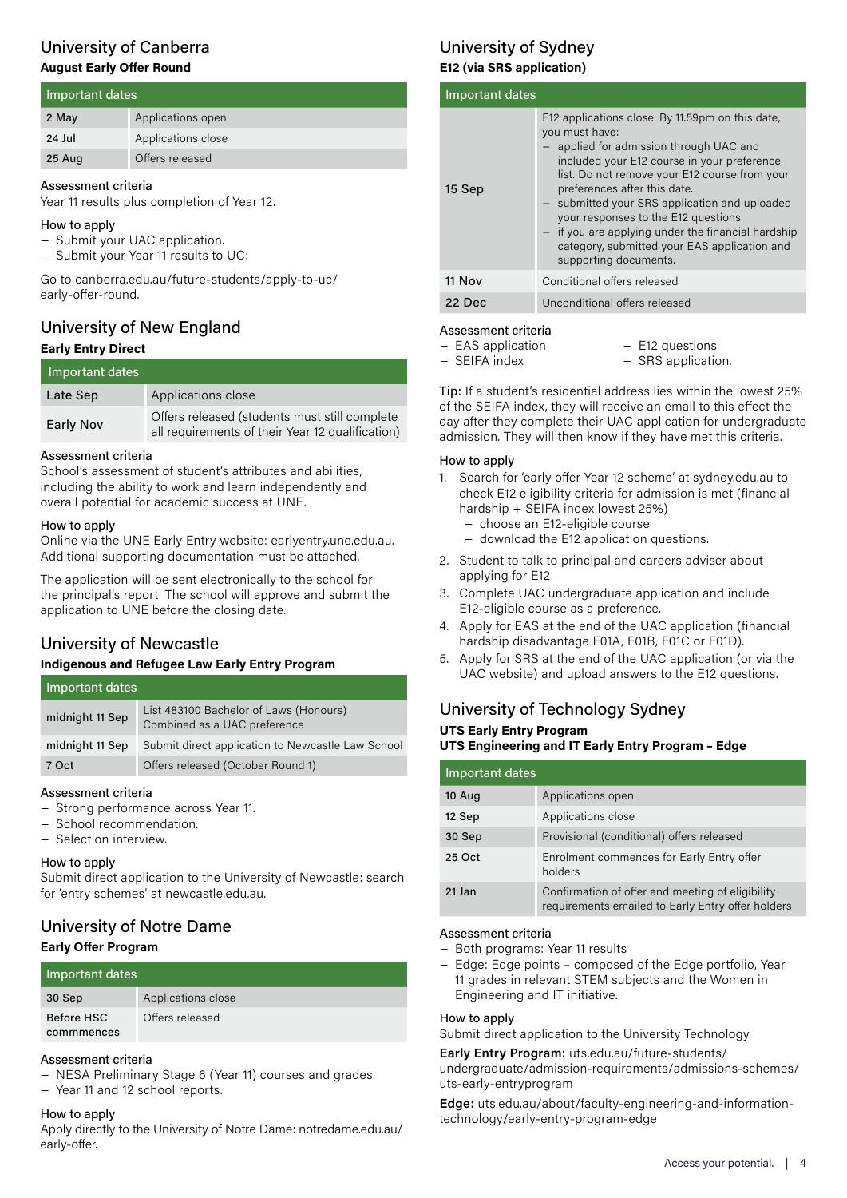### University of Canberra **August Early Offer Round**

| Important dates |                    |
|-----------------|--------------------|
| 2 May           | Applications open  |
| 24 Jul          | Applications close |
| 25 Aug          | Offers released    |

### Assessment criteria

Year 11 results plus completion of Year 12.

### How to apply

- − Submit your UAC application.
- − Submit your Year 11 results to UC:

Go to canberra.edu.au/future-students/apply-to-uc/ early-offer-round.

### University of New England **Early Entry Direct**

| Important dates |                                                                                                   |
|-----------------|---------------------------------------------------------------------------------------------------|
| Late Sep        | Applications close                                                                                |
| Early Nov       | Offers released (students must still complete<br>all requirements of their Year 12 qualification) |

### Assessment criteria

School's assessment of student's attributes and abilities, including the ability to work and learn independently and overall potential for academic success at UNE.

### How to apply

Online via the UNE Early Entry website: earlyentry.une.edu.au. Additional supporting documentation must be attached.

The application will be sent electronically to the school for the principal's report. The school will approve and submit the application to UNE before the closing date.

### University of Newcastle

### **Indigenous and Refugee Law Early Entry Program**

| Important dates |                                                                        |
|-----------------|------------------------------------------------------------------------|
| midnight 11 Sep | List 483100 Bachelor of Laws (Honours)<br>Combined as a UAC preference |
| midnight 11 Sep | Submit direct application to Newcastle Law School                      |
| 7 Oct           | Offers released (October Round 1)                                      |

### Assessment criteria

- − Strong performance across Year 11.
- − School recommendation.
- − Selection interview.

### How to apply

Submit direct application to the University of Newcastle: search for 'entry schemes' at newcastle.edu.au.

### University of Notre Dame **Early Offer Program**

| Important dates          |                    |
|--------------------------|--------------------|
| 30 Sep                   | Applications close |
| Before HSC<br>commmences | Offers released    |

### Assessment criteria

− NESA Preliminary Stage 6 (Year 11) courses and grades.

− Year 11 and 12 school reports.

### How to apply

Apply directly to the University of Notre Dame: notredame.edu.au/ early-offer.

### University of Sydney **E12 (via SRS application)**

| Important dates |                                                                                                                                                                                                                                                                                                                                                                                                                                                                      |
|-----------------|----------------------------------------------------------------------------------------------------------------------------------------------------------------------------------------------------------------------------------------------------------------------------------------------------------------------------------------------------------------------------------------------------------------------------------------------------------------------|
| 15 Sep          | E12 applications close. By 11.59pm on this date,<br>you must have:<br>- applied for admission through UAC and<br>included your E12 course in your preference<br>list. Do not remove your E12 course from your<br>preferences after this date.<br>- submitted your SRS application and uploaded<br>your responses to the E12 questions<br>- if you are applying under the financial hardship<br>category, submitted your EAS application and<br>supporting documents. |
| 11 Nov          | Conditional offers released                                                                                                                                                                                                                                                                                                                                                                                                                                          |
| 22 Dec          | Unconditional offers released                                                                                                                                                                                                                                                                                                                                                                                                                                        |

### Assessment criteria

- − EAS application
- − SEIFA index
- − E12 questions − SRS application.
- 

Tip: If a student's residential address lies within the lowest 25% of the SEIFA index, they will receive an email to this effect the day after they complete their UAC application for undergraduate admission. They will then know if they have met this criteria.

### How to apply

- 1. Search for 'early offer Year 12 scheme' at sydney.edu.au to check E12 eligibility criteria for admission is met (financial hardship + SEIFA index lowest 25%)
	- − choose an E12-eligible course
	- − download the E12 application questions.
- 2. Student to talk to principal and careers adviser about applying for E12.
- 3. Complete UAC undergraduate application and include E12-eligible course as a preference.
- 4. Apply for EAS at the end of the UAC application (financial hardship disadvantage F01A, F01B, F01C or F01D).
- 5. Apply for SRS at the end of the UAC application (or via the UAC website) and upload answers to the E12 questions.

### University of Technology Sydney **UTS Early Entry Program UTS Engineering and IT Early Entry Program – Edge**

| Important dates |                                                                                                       |
|-----------------|-------------------------------------------------------------------------------------------------------|
| 10 Aug          | Applications open                                                                                     |
| 12 Sep          | Applications close                                                                                    |
| 30 Sep          | Provisional (conditional) offers released                                                             |
| 25 Oct          | Enrolment commences for Early Entry offer<br>holders                                                  |
| 21 Jan          | Confirmation of offer and meeting of eligibility<br>requirements emailed to Early Entry offer holders |

### Assessment criteria

- − Both programs: Year 11 results
- − Edge: Edge points composed of the Edge portfolio, Year 11 grades in relevant STEM subjects and the Women in Engineering and IT initiative.

### How to apply

Submit direct application to the University Technology.

#### **Early Entry Program:** uts.edu.au/future-students/

undergraduate/admission-requirements/admissions-schemes/ uts-early-entryprogram

**Edge:** uts.edu.au/about/faculty-engineering-and-informationtechnology/early-entry-program-edge